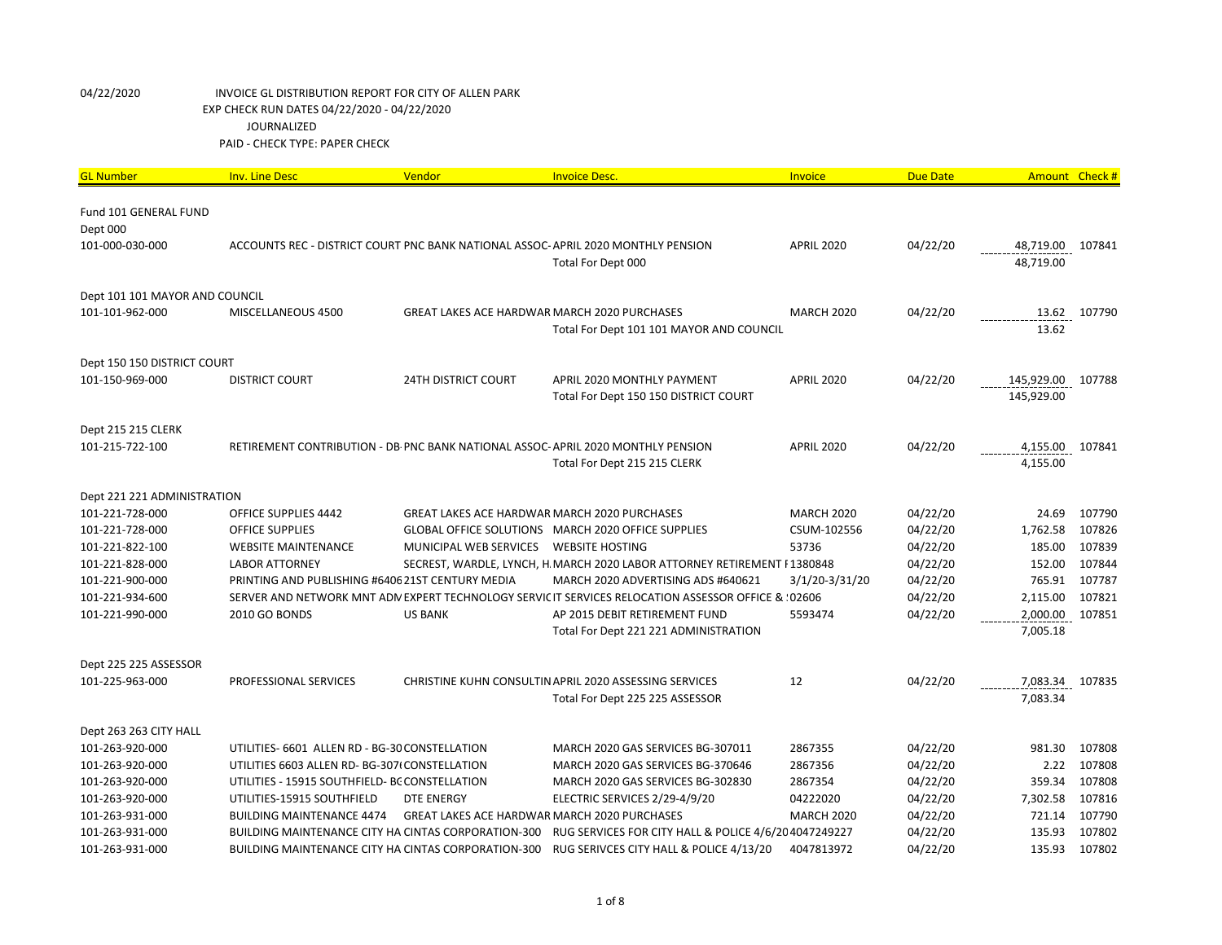| <b>GL Number</b>                  | <b>Inv. Line Desc</b>                               | Vendor                                              | <b>Invoice Desc.</b>                                                                                            | Invoice           | <b>Due Date</b> | Amount Check #           |        |
|-----------------------------------|-----------------------------------------------------|-----------------------------------------------------|-----------------------------------------------------------------------------------------------------------------|-------------------|-----------------|--------------------------|--------|
| Fund 101 GENERAL FUND<br>Dept 000 |                                                     |                                                     |                                                                                                                 |                   |                 |                          |        |
| 101-000-030-000                   |                                                     |                                                     | ACCOUNTS REC - DISTRICT COURT PNC BANK NATIONAL ASSOC-APRIL 2020 MONTHLY PENSION<br>Total For Dept 000          | <b>APRIL 2020</b> | 04/22/20        | 48,719.00<br>48,719.00   | 107841 |
| Dept 101 101 MAYOR AND COUNCIL    |                                                     |                                                     |                                                                                                                 |                   |                 |                          |        |
| 101-101-962-000                   | MISCELLANEOUS 4500                                  | <b>GREAT LAKES ACE HARDWAR MARCH 2020 PURCHASES</b> | Total For Dept 101 101 MAYOR AND COUNCIL                                                                        | <b>MARCH 2020</b> | 04/22/20        | 13.62<br>13.62           | 107790 |
| Dept 150 150 DISTRICT COURT       |                                                     |                                                     |                                                                                                                 |                   |                 |                          |        |
| 101-150-969-000                   | <b>DISTRICT COURT</b>                               | <b>24TH DISTRICT COURT</b>                          | APRIL 2020 MONTHLY PAYMENT<br>Total For Dept 150 150 DISTRICT COURT                                             | <b>APRIL 2020</b> | 04/22/20        | 145,929.00<br>145,929.00 | 107788 |
| Dept 215 215 CLERK                |                                                     |                                                     |                                                                                                                 |                   |                 |                          |        |
| 101-215-722-100                   |                                                     |                                                     | RETIREMENT CONTRIBUTION - DB PNC BANK NATIONAL ASSOC-APRIL 2020 MONTHLY PENSION<br>Total For Dept 215 215 CLERK | <b>APRIL 2020</b> | 04/22/20        | 4,155.00<br>4,155.00     | 107841 |
| Dept 221 221 ADMINISTRATION       |                                                     |                                                     |                                                                                                                 |                   |                 |                          |        |
| 101-221-728-000                   | <b>OFFICE SUPPLIES 4442</b>                         | <b>GREAT LAKES ACE HARDWAR MARCH 2020 PURCHASES</b> |                                                                                                                 | <b>MARCH 2020</b> | 04/22/20        | 24.69                    | 107790 |
| 101-221-728-000                   | <b>OFFICE SUPPLIES</b>                              |                                                     | GLOBAL OFFICE SOLUTIONS MARCH 2020 OFFICE SUPPLIES                                                              | CSUM-102556       | 04/22/20        | 1,762.58                 | 107826 |
| 101-221-822-100                   | <b>WEBSITE MAINTENANCE</b>                          | MUNICIPAL WEB SERVICES                              | <b>WEBSITE HOSTING</b>                                                                                          | 53736             | 04/22/20        | 185.00                   | 107839 |
| 101-221-828-000                   | <b>LABOR ATTORNEY</b>                               |                                                     | SECREST, WARDLE, LYNCH, H. MARCH 2020 LABOR ATTORNEY RETIREMENT I 1380848                                       |                   | 04/22/20        | 152.00                   | 107844 |
| 101-221-900-000                   | PRINTING AND PUBLISHING #6406 21ST CENTURY MEDIA    |                                                     | MARCH 2020 ADVERTISING ADS #640621                                                                              | 3/1/20-3/31/20    | 04/22/20        | 765.91                   | 107787 |
| 101-221-934-600                   |                                                     |                                                     | SERVER AND NETWORK MNT ADN EXPERT TECHNOLOGY SERVIC IT SERVICES RELOCATION ASSESSOR OFFICE & : 02606            |                   | 04/22/20        | 2,115.00                 | 107821 |
| 101-221-990-000                   | 2010 GO BONDS                                       | <b>US BANK</b>                                      | AP 2015 DEBIT RETIREMENT FUND                                                                                   | 5593474           | 04/22/20        | 2,000.00                 | 107851 |
|                                   |                                                     |                                                     | Total For Dept 221 221 ADMINISTRATION                                                                           |                   |                 | 7,005.18                 |        |
| Dept 225 225 ASSESSOR             |                                                     |                                                     |                                                                                                                 |                   |                 |                          |        |
| 101-225-963-000                   | PROFESSIONAL SERVICES                               |                                                     | CHRISTINE KUHN CONSULTIN APRIL 2020 ASSESSING SERVICES                                                          | 12                | 04/22/20        | 7,083.34                 | 107835 |
|                                   |                                                     |                                                     | Total For Dept 225 225 ASSESSOR                                                                                 |                   |                 | 7,083.34                 |        |
| Dept 263 263 CITY HALL            |                                                     |                                                     |                                                                                                                 |                   |                 |                          |        |
| 101-263-920-000                   | UTILITIES- 6601 ALLEN RD - BG-30 CONSTELLATION      |                                                     | MARCH 2020 GAS SERVICES BG-307011                                                                               | 2867355           | 04/22/20        | 981.30                   | 107808 |
| 101-263-920-000                   | UTILITIES 6603 ALLEN RD- BG-307(CONSTELLATION       |                                                     | MARCH 2020 GAS SERVICES BG-370646                                                                               | 2867356           | 04/22/20        | 2.22                     | 107808 |
| 101-263-920-000                   | UTILITIES - 15915 SOUTHFIELD- BC CONSTELLATION      |                                                     | MARCH 2020 GAS SERVICES BG-302830                                                                               | 2867354           | 04/22/20        | 359.34                   | 107808 |
| 101-263-920-000                   | UTILITIES-15915 SOUTHFIELD                          | <b>DTE ENERGY</b>                                   | ELECTRIC SERVICES 2/29-4/9/20                                                                                   | 04222020          | 04/22/20        | 7,302.58                 | 107816 |
| 101-263-931-000                   | <b>BUILDING MAINTENANCE 4474</b>                    | GREAT LAKES ACE HARDWAR MARCH 2020 PURCHASES        |                                                                                                                 | <b>MARCH 2020</b> | 04/22/20        | 721.14                   | 107790 |
| 101-263-931-000                   | BUILDING MAINTENANCE CITY HA CINTAS CORPORATION-300 |                                                     | RUG SERVICES FOR CITY HALL & POLICE 4/6/20 4047249227                                                           |                   | 04/22/20        | 135.93                   | 107802 |
| 101-263-931-000                   |                                                     |                                                     | BUILDING MAINTENANCE CITY HA CINTAS CORPORATION-300 RUG SERIVCES CITY HALL & POLICE 4/13/20                     | 4047813972        | 04/22/20        | 135.93                   | 107802 |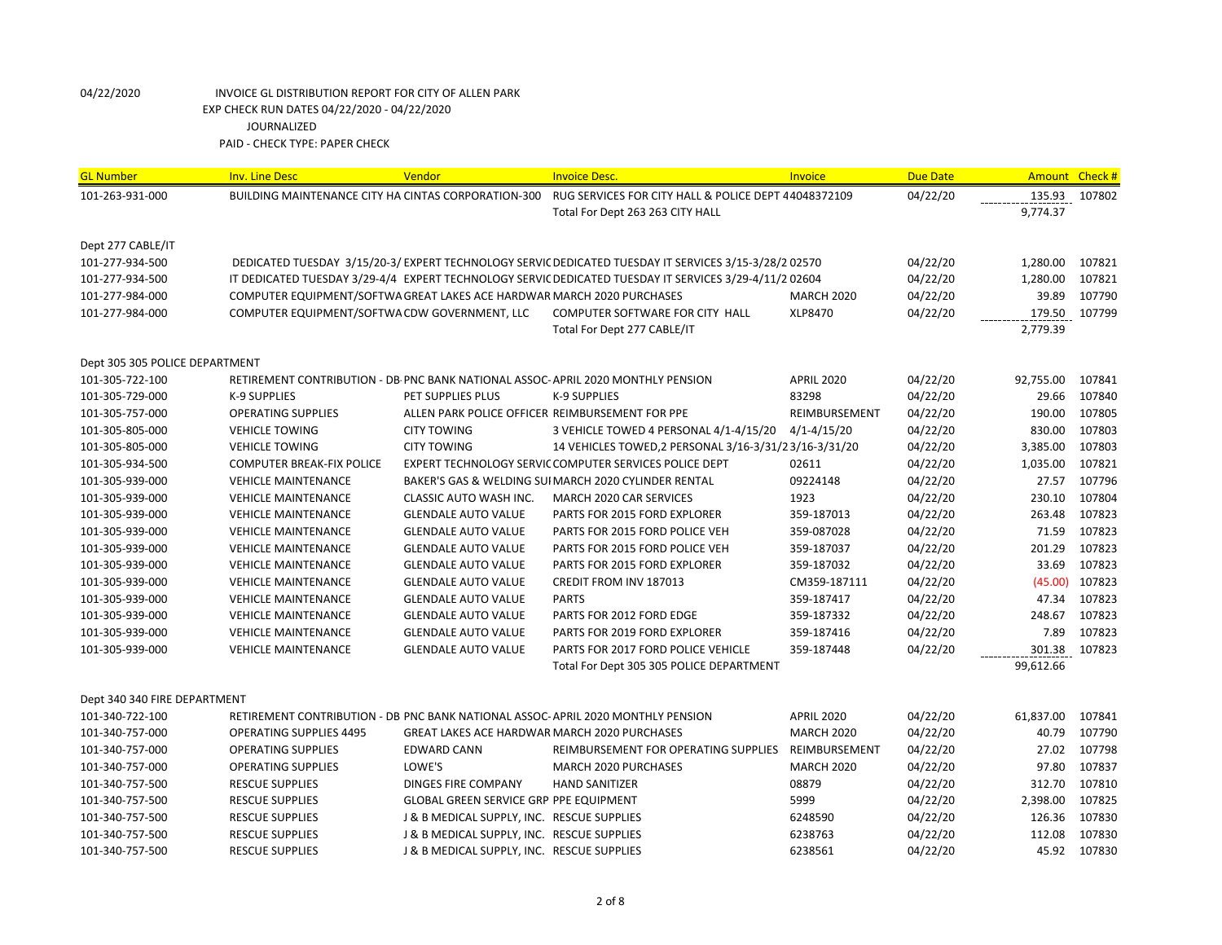| <b>GL Number</b>               | <b>Inv. Line Desc</b>                                                  | Vendor                                              | <b>Invoice Desc.</b>                                                                                   | <b>Invoice</b>    | <b>Due Date</b> | Amount Check # |        |
|--------------------------------|------------------------------------------------------------------------|-----------------------------------------------------|--------------------------------------------------------------------------------------------------------|-------------------|-----------------|----------------|--------|
| 101-263-931-000                | BUILDING MAINTENANCE CITY HA CINTAS CORPORATION-300                    |                                                     | RUG SERVICES FOR CITY HALL & POLICE DEPT 44048372109                                                   |                   | 04/22/20        | 135.93         | 107802 |
|                                |                                                                        |                                                     | Total For Dept 263 263 CITY HALL                                                                       |                   |                 | 9,774.37       |        |
|                                |                                                                        |                                                     |                                                                                                        |                   |                 |                |        |
| Dept 277 CABLE/IT              |                                                                        |                                                     |                                                                                                        |                   |                 |                |        |
| 101-277-934-500                |                                                                        |                                                     | DEDICATED TUESDAY 3/15/20-3/ EXPERT TECHNOLOGY SERVIC DEDICATED TUESDAY IT SERVICES 3/15-3/28/2 02570  |                   | 04/22/20        | 1,280.00       | 107821 |
| 101-277-934-500                |                                                                        |                                                     | IT DEDICATED TUESDAY 3/29-4/4 EXPERT TECHNOLOGY SERVIC DEDICATED TUESDAY IT SERVICES 3/29-4/11/2 02604 |                   | 04/22/20        | 1,280.00       | 107821 |
| 101-277-984-000                | COMPUTER EQUIPMENT/SOFTWA GREAT LAKES ACE HARDWAR MARCH 2020 PURCHASES |                                                     |                                                                                                        | <b>MARCH 2020</b> | 04/22/20        | 39.89          | 107790 |
| 101-277-984-000                | COMPUTER EQUIPMENT/SOFTWA CDW GOVERNMENT, LLC                          |                                                     | COMPUTER SOFTWARE FOR CITY HALL                                                                        | XLP8470           | 04/22/20        | 179.50         | 107799 |
|                                |                                                                        |                                                     | Total For Dept 277 CABLE/IT                                                                            |                   |                 | 2,779.39       |        |
| Dept 305 305 POLICE DEPARTMENT |                                                                        |                                                     |                                                                                                        |                   |                 |                |        |
| 101-305-722-100                |                                                                        |                                                     | RETIREMENT CONTRIBUTION - DB PNC BANK NATIONAL ASSOC-APRIL 2020 MONTHLY PENSION                        | <b>APRIL 2020</b> | 04/22/20        | 92,755.00      | 107841 |
| 101-305-729-000                | K-9 SUPPLIES                                                           | PET SUPPLIES PLUS                                   | K-9 SUPPLIES                                                                                           | 83298             | 04/22/20        | 29.66          | 107840 |
| 101-305-757-000                | <b>OPERATING SUPPLIES</b>                                              |                                                     | ALLEN PARK POLICE OFFICER REIMBURSEMENT FOR PPE                                                        | REIMBURSEMENT     | 04/22/20        | 190.00         | 107805 |
| 101-305-805-000                | <b>VEHICLE TOWING</b>                                                  | <b>CITY TOWING</b>                                  | 3 VEHICLE TOWED 4 PERSONAL 4/1-4/15/20                                                                 | $4/1 - 4/15/20$   | 04/22/20        | 830.00         | 107803 |
| 101-305-805-000                | <b>VEHICLE TOWING</b>                                                  | <b>CITY TOWING</b>                                  | 14 VEHICLES TOWED, 2 PERSONAL 3/16-3/31/23/16-3/31/20                                                  |                   | 04/22/20        | 3,385.00       | 107803 |
| 101-305-934-500                | <b>COMPUTER BREAK-FIX POLICE</b>                                       |                                                     | EXPERT TECHNOLOGY SERVIC COMPUTER SERVICES POLICE DEPT                                                 | 02611             | 04/22/20        | 1,035.00       | 107821 |
| 101-305-939-000                | <b>VEHICLE MAINTENANCE</b>                                             |                                                     | BAKER'S GAS & WELDING SUI MARCH 2020 CYLINDER RENTAL                                                   | 09224148          | 04/22/20        | 27.57          | 107796 |
| 101-305-939-000                | <b>VEHICLE MAINTENANCE</b>                                             | CLASSIC AUTO WASH INC.                              | MARCH 2020 CAR SERVICES                                                                                | 1923              | 04/22/20        | 230.10         | 107804 |
| 101-305-939-000                | <b>VEHICLE MAINTENANCE</b>                                             | <b>GLENDALE AUTO VALUE</b>                          | PARTS FOR 2015 FORD EXPLORER                                                                           | 359-187013        | 04/22/20        | 263.48         | 107823 |
| 101-305-939-000                | <b>VEHICLE MAINTENANCE</b>                                             | <b>GLENDALE AUTO VALUE</b>                          | PARTS FOR 2015 FORD POLICE VEH                                                                         | 359-087028        | 04/22/20        | 71.59          | 107823 |
| 101-305-939-000                | <b>VEHICLE MAINTENANCE</b>                                             | <b>GLENDALE AUTO VALUE</b>                          | PARTS FOR 2015 FORD POLICE VEH                                                                         | 359-187037        | 04/22/20        | 201.29         | 107823 |
| 101-305-939-000                | <b>VEHICLE MAINTENANCE</b>                                             | <b>GLENDALE AUTO VALUE</b>                          | PARTS FOR 2015 FORD EXPLORER                                                                           | 359-187032        | 04/22/20        | 33.69          | 107823 |
| 101-305-939-000                | <b>VEHICLE MAINTENANCE</b>                                             | <b>GLENDALE AUTO VALUE</b>                          | <b>CREDIT FROM INV 187013</b>                                                                          | CM359-187111      | 04/22/20        | (45.00)        | 107823 |
| 101-305-939-000                | <b>VEHICLE MAINTENANCE</b>                                             | <b>GLENDALE AUTO VALUE</b>                          | <b>PARTS</b>                                                                                           | 359-187417        | 04/22/20        | 47.34          | 107823 |
| 101-305-939-000                | <b>VEHICLE MAINTENANCE</b>                                             | <b>GLENDALE AUTO VALUE</b>                          | PARTS FOR 2012 FORD EDGE                                                                               | 359-187332        | 04/22/20        | 248.67         | 107823 |
| 101-305-939-000                | <b>VEHICLE MAINTENANCE</b>                                             | <b>GLENDALE AUTO VALUE</b>                          | PARTS FOR 2019 FORD EXPLORER                                                                           | 359-187416        | 04/22/20        | 7.89           | 107823 |
| 101-305-939-000                | <b>VEHICLE MAINTENANCE</b>                                             | <b>GLENDALE AUTO VALUE</b>                          | PARTS FOR 2017 FORD POLICE VEHICLE                                                                     | 359-187448        | 04/22/20        | 301.38         | 107823 |
|                                |                                                                        |                                                     | Total For Dept 305 305 POLICE DEPARTMENT                                                               |                   |                 | 99,612.66      |        |
| Dept 340 340 FIRE DEPARTMENT   |                                                                        |                                                     |                                                                                                        |                   |                 |                |        |
| 101-340-722-100                |                                                                        |                                                     | RETIREMENT CONTRIBUTION - DB PNC BANK NATIONAL ASSOC-APRIL 2020 MONTHLY PENSION                        | <b>APRIL 2020</b> | 04/22/20        | 61,837.00      | 107841 |
| 101-340-757-000                | <b>OPERATING SUPPLIES 4495</b>                                         | <b>GREAT LAKES ACE HARDWAR MARCH 2020 PURCHASES</b> |                                                                                                        | <b>MARCH 2020</b> | 04/22/20        | 40.79          | 107790 |
| 101-340-757-000                | <b>OPERATING SUPPLIES</b>                                              | <b>EDWARD CANN</b>                                  | REIMBURSEMENT FOR OPERATING SUPPLIES                                                                   | REIMBURSEMENT     | 04/22/20        | 27.02          | 107798 |
| 101-340-757-000                | <b>OPERATING SUPPLIES</b>                                              | LOWE'S                                              | <b>MARCH 2020 PURCHASES</b>                                                                            | <b>MARCH 2020</b> | 04/22/20        | 97.80          | 107837 |
| 101-340-757-500                | <b>RESCUE SUPPLIES</b>                                                 | <b>DINGES FIRE COMPANY</b>                          | <b>HAND SANITIZER</b>                                                                                  | 08879             | 04/22/20        | 312.70         | 107810 |
| 101-340-757-500                | <b>RESCUE SUPPLIES</b>                                                 | <b>GLOBAL GREEN SERVICE GRP PPE EQUIPMENT</b>       |                                                                                                        | 5999              | 04/22/20        | 2,398.00       | 107825 |
| 101-340-757-500                | <b>RESCUE SUPPLIES</b>                                                 | J & B MEDICAL SUPPLY, INC. RESCUE SUPPLIES          |                                                                                                        | 6248590           | 04/22/20        | 126.36         | 107830 |
| 101-340-757-500                | <b>RESCUE SUPPLIES</b>                                                 | J & B MEDICAL SUPPLY, INC. RESCUE SUPPLIES          |                                                                                                        | 6238763           | 04/22/20        | 112.08         | 107830 |
| 101-340-757-500                | <b>RESCUE SUPPLIES</b>                                                 | J & B MEDICAL SUPPLY, INC. RESCUE SUPPLIES          |                                                                                                        | 6238561           | 04/22/20        | 45.92          | 107830 |
|                                |                                                                        |                                                     |                                                                                                        |                   |                 |                |        |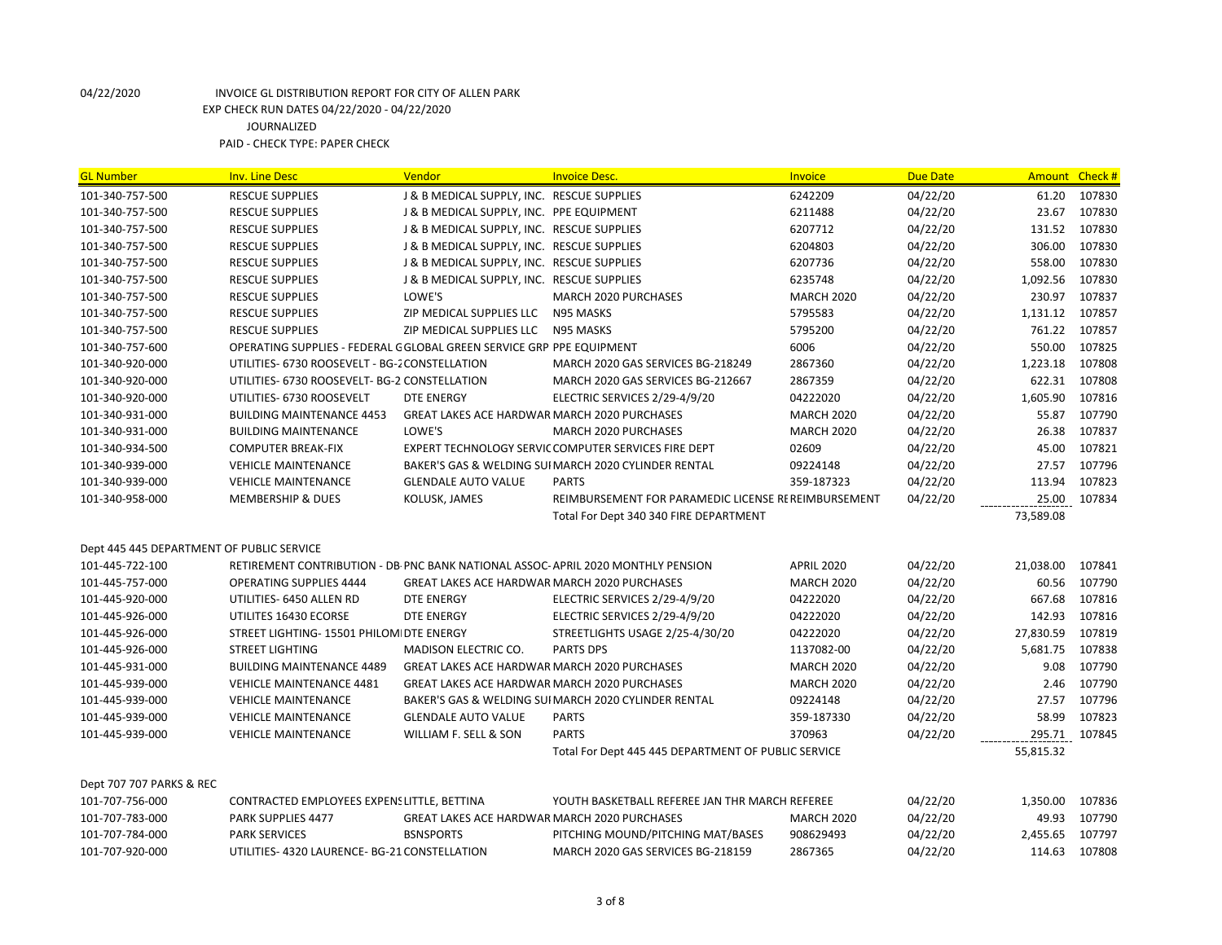| <b>GL Number</b>                          | <b>Inv. Line Desc</b>                                                           | <b>Vendor</b>                                       | <b>Invoice Desc.</b>                                 | <b>Invoice</b>    | <b>Due Date</b> | Amount Check # |        |
|-------------------------------------------|---------------------------------------------------------------------------------|-----------------------------------------------------|------------------------------------------------------|-------------------|-----------------|----------------|--------|
| 101-340-757-500                           | <b>RESCUE SUPPLIES</b>                                                          | J & B MEDICAL SUPPLY, INC. RESCUE SUPPLIES          |                                                      | 6242209           | 04/22/20        | 61.20          | 107830 |
| 101-340-757-500                           | <b>RESCUE SUPPLIES</b>                                                          | J & B MEDICAL SUPPLY, INC. PPE EQUIPMENT            |                                                      | 6211488           | 04/22/20        | 23.67          | 107830 |
| 101-340-757-500                           | <b>RESCUE SUPPLIES</b>                                                          | J & B MEDICAL SUPPLY, INC. RESCUE SUPPLIES          |                                                      | 6207712           | 04/22/20        | 131.52         | 107830 |
| 101-340-757-500                           | <b>RESCUE SUPPLIES</b>                                                          | J & B MEDICAL SUPPLY, INC. RESCUE SUPPLIES          |                                                      | 6204803           | 04/22/20        | 306.00         | 107830 |
| 101-340-757-500                           | <b>RESCUE SUPPLIES</b>                                                          | J & B MEDICAL SUPPLY, INC. RESCUE SUPPLIES          |                                                      | 6207736           | 04/22/20        | 558.00         | 107830 |
| 101-340-757-500                           | <b>RESCUE SUPPLIES</b>                                                          | J & B MEDICAL SUPPLY, INC. RESCUE SUPPLIES          |                                                      | 6235748           | 04/22/20        | 1,092.56       | 107830 |
| 101-340-757-500                           | <b>RESCUE SUPPLIES</b>                                                          | LOWE'S                                              | <b>MARCH 2020 PURCHASES</b>                          | <b>MARCH 2020</b> | 04/22/20        | 230.97         | 107837 |
| 101-340-757-500                           | <b>RESCUE SUPPLIES</b>                                                          | ZIP MEDICAL SUPPLIES LLC                            | N95 MASKS                                            | 5795583           | 04/22/20        | 1,131.12       | 107857 |
| 101-340-757-500                           | <b>RESCUE SUPPLIES</b>                                                          | ZIP MEDICAL SUPPLIES LLC                            | N95 MASKS                                            | 5795200           | 04/22/20        | 761.22         | 107857 |
| 101-340-757-600                           | OPERATING SUPPLIES - FEDERAL G GLOBAL GREEN SERVICE GRP PPE EQUIPMENT           |                                                     |                                                      | 6006              | 04/22/20        | 550.00         | 107825 |
| 101-340-920-000                           | UTILITIES- 6730 ROOSEVELT - BG-2 CONSTELLATION                                  |                                                     | MARCH 2020 GAS SERVICES BG-218249                    | 2867360           | 04/22/20        | 1,223.18       | 107808 |
| 101-340-920-000                           | UTILITIES- 6730 ROOSEVELT- BG-2 CONSTELLATION                                   |                                                     | MARCH 2020 GAS SERVICES BG-212667                    | 2867359           | 04/22/20        | 622.31         | 107808 |
| 101-340-920-000                           | UTILITIES- 6730 ROOSEVELT                                                       | <b>DTE ENERGY</b>                                   | ELECTRIC SERVICES 2/29-4/9/20                        | 04222020          | 04/22/20        | 1,605.90       | 107816 |
| 101-340-931-000                           | <b>BUILDING MAINTENANCE 4453</b>                                                | <b>GREAT LAKES ACE HARDWAR MARCH 2020 PURCHASES</b> |                                                      | <b>MARCH 2020</b> | 04/22/20        | 55.87          | 107790 |
| 101-340-931-000                           | <b>BUILDING MAINTENANCE</b>                                                     | LOWE'S                                              | MARCH 2020 PURCHASES                                 | <b>MARCH 2020</b> | 04/22/20        | 26.38          | 107837 |
| 101-340-934-500                           | <b>COMPUTER BREAK-FIX</b>                                                       |                                                     | EXPERT TECHNOLOGY SERVIC COMPUTER SERVICES FIRE DEPT | 02609             | 04/22/20        | 45.00          | 107821 |
| 101-340-939-000                           | <b>VEHICLE MAINTENANCE</b>                                                      |                                                     | BAKER'S GAS & WELDING SUI MARCH 2020 CYLINDER RENTAL | 09224148          | 04/22/20        | 27.57          | 107796 |
| 101-340-939-000                           | <b>VEHICLE MAINTENANCE</b>                                                      | <b>GLENDALE AUTO VALUE</b>                          | <b>PARTS</b>                                         | 359-187323        | 04/22/20        | 113.94         | 107823 |
| 101-340-958-000                           | <b>MEMBERSHIP &amp; DUES</b>                                                    | KOLUSK, JAMES                                       | REIMBURSEMENT FOR PARAMEDIC LICENSE RE REIMBURSEMENT |                   | 04/22/20        | 25.00          | 107834 |
|                                           |                                                                                 |                                                     | Total For Dept 340 340 FIRE DEPARTMENT               |                   |                 | 73,589.08      |        |
| Dept 445 445 DEPARTMENT OF PUBLIC SERVICE |                                                                                 |                                                     |                                                      |                   |                 |                |        |
| 101-445-722-100                           | RETIREMENT CONTRIBUTION - DB PNC BANK NATIONAL ASSOC-APRIL 2020 MONTHLY PENSION |                                                     |                                                      | <b>APRIL 2020</b> | 04/22/20        | 21,038.00      | 107841 |
| 101-445-757-000                           | <b>OPERATING SUPPLIES 4444</b>                                                  | <b>GREAT LAKES ACE HARDWAR MARCH 2020 PURCHASES</b> |                                                      | <b>MARCH 2020</b> | 04/22/20        | 60.56          | 107790 |
| 101-445-920-000                           | UTILITIES- 6450 ALLEN RD                                                        | <b>DTE ENERGY</b>                                   | ELECTRIC SERVICES 2/29-4/9/20                        | 04222020          | 04/22/20        | 667.68         | 107816 |
| 101-445-926-000                           | UTILITES 16430 ECORSE                                                           | <b>DTE ENERGY</b>                                   | ELECTRIC SERVICES 2/29-4/9/20                        | 04222020          | 04/22/20        | 142.93         | 107816 |
| 101-445-926-000                           | STREET LIGHTING- 15501 PHILOM DTE ENERGY                                        |                                                     | STREETLIGHTS USAGE 2/25-4/30/20                      | 04222020          | 04/22/20        | 27,830.59      | 107819 |
| 101-445-926-000                           | <b>STREET LIGHTING</b>                                                          | <b>MADISON ELECTRIC CO.</b>                         | <b>PARTS DPS</b>                                     | 1137082-00        | 04/22/20        | 5,681.75       | 107838 |
| 101-445-931-000                           | <b>BUILDING MAINTENANCE 4489</b>                                                | <b>GREAT LAKES ACE HARDWAR MARCH 2020 PURCHASES</b> |                                                      | <b>MARCH 2020</b> | 04/22/20        | 9.08           | 107790 |
| 101-445-939-000                           | <b>VEHICLE MAINTENANCE 4481</b>                                                 | <b>GREAT LAKES ACE HARDWAR MARCH 2020 PURCHASES</b> |                                                      | <b>MARCH 2020</b> | 04/22/20        | 2.46           | 107790 |
| 101-445-939-000                           | <b>VEHICLE MAINTENANCE</b>                                                      |                                                     | BAKER'S GAS & WELDING SUI MARCH 2020 CYLINDER RENTAL | 09224148          | 04/22/20        | 27.57          | 107796 |
| 101-445-939-000                           | <b>VEHICLE MAINTENANCE</b>                                                      | <b>GLENDALE AUTO VALUE</b>                          | <b>PARTS</b>                                         | 359-187330        | 04/22/20        | 58.99          | 107823 |
| 101-445-939-000                           | <b>VEHICLE MAINTENANCE</b>                                                      | WILLIAM F. SELL & SON                               | <b>PARTS</b>                                         | 370963            | 04/22/20        | 295.71         | 107845 |
|                                           |                                                                                 |                                                     | Total For Dept 445 445 DEPARTMENT OF PUBLIC SERVICE  |                   |                 | 55,815.32      |        |
| Dept 707 707 PARKS & REC                  |                                                                                 |                                                     |                                                      |                   |                 |                |        |
| 101-707-756-000                           | CONTRACTED EMPLOYEES EXPENS LITTLE, BETTINA                                     |                                                     | YOUTH BASKETBALL REFEREE JAN THR MARCH REFEREE       |                   | 04/22/20        | 1,350.00       | 107836 |
| 101-707-783-000                           | <b>PARK SUPPLIES 4477</b>                                                       | <b>GREAT LAKES ACE HARDWAR MARCH 2020 PURCHASES</b> |                                                      | <b>MARCH 2020</b> | 04/22/20        | 49.93          | 107790 |
| 101-707-784-000                           | <b>PARK SERVICES</b>                                                            | <b>BSNSPORTS</b>                                    | PITCHING MOUND/PITCHING MAT/BASES                    | 908629493         | 04/22/20        | 2,455.65       | 107797 |
| 101-707-920-000                           | UTILITIES- 4320 LAURENCE- BG-21 CONSTELLATION                                   |                                                     | MARCH 2020 GAS SERVICES BG-218159                    | 2867365           | 04/22/20        | 114.63         | 107808 |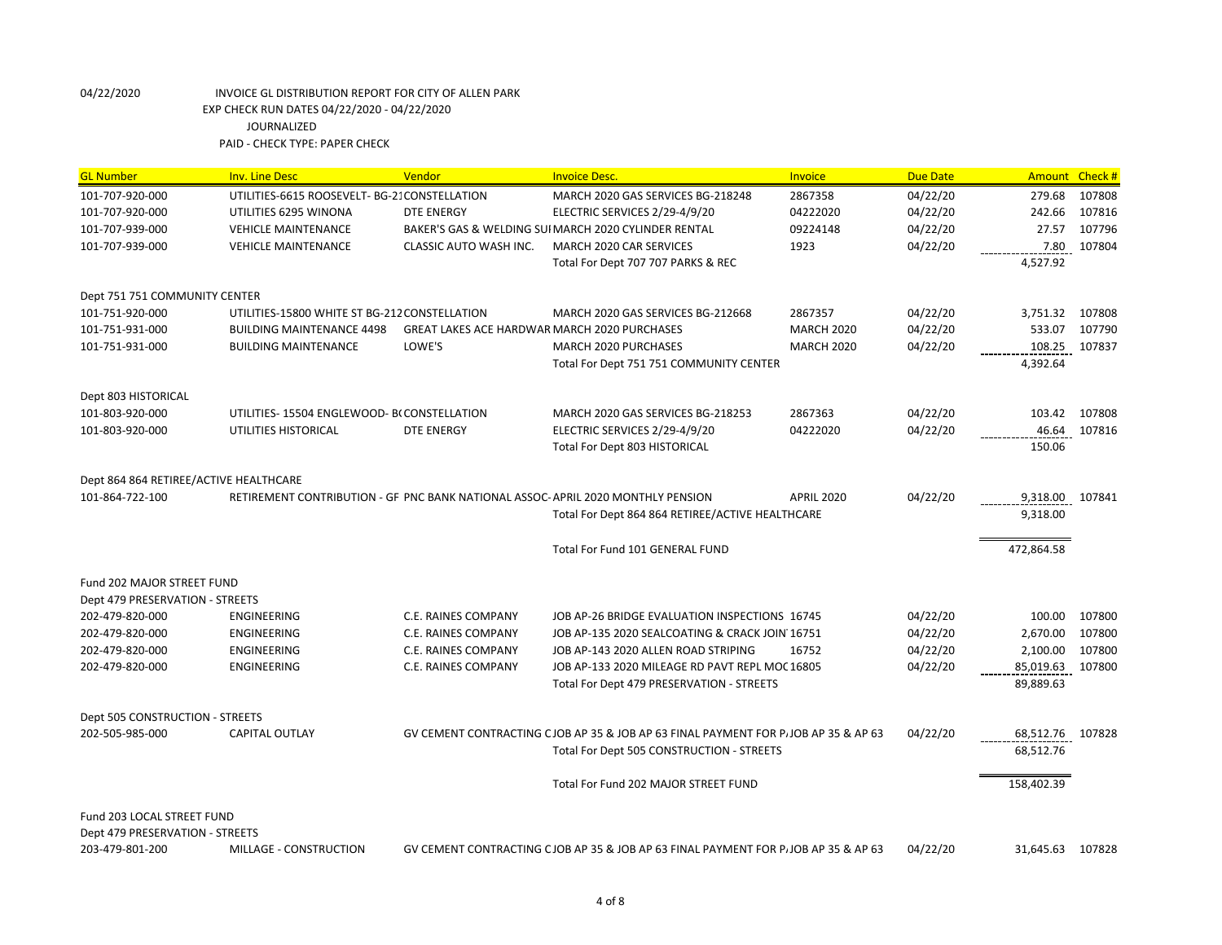| <b>GL Number</b>                       | <b>Inv. Line Desc</b>                         | Vendor                                              | <b>Invoice Desc.</b>                                                               | <b>Invoice</b>    | <b>Due Date</b> |                         | Amount Check # |
|----------------------------------------|-----------------------------------------------|-----------------------------------------------------|------------------------------------------------------------------------------------|-------------------|-----------------|-------------------------|----------------|
| 101-707-920-000                        | UTILITIES-6615 ROOSEVELT- BG-21 CONSTELLATION |                                                     | MARCH 2020 GAS SERVICES BG-218248                                                  | 2867358           | 04/22/20        | 279.68                  | 107808         |
| 101-707-920-000                        | UTILITIES 6295 WINONA                         | <b>DTE ENERGY</b>                                   | ELECTRIC SERVICES 2/29-4/9/20                                                      | 04222020          | 04/22/20        | 242.66                  | 107816         |
| 101-707-939-000                        | <b>VEHICLE MAINTENANCE</b>                    |                                                     | BAKER'S GAS & WELDING SUI MARCH 2020 CYLINDER RENTAL                               | 09224148          | 04/22/20        | 27.57                   | 107796         |
| 101-707-939-000                        | <b>VEHICLE MAINTENANCE</b>                    | CLASSIC AUTO WASH INC.                              | MARCH 2020 CAR SERVICES                                                            | 1923              | 04/22/20        | 7.80                    | 107804         |
|                                        |                                               |                                                     | Total For Dept 707 707 PARKS & REC                                                 |                   |                 | 4,527.92                |                |
| Dept 751 751 COMMUNITY CENTER          |                                               |                                                     |                                                                                    |                   |                 |                         |                |
| 101-751-920-000                        | UTILITIES-15800 WHITE ST BG-212 CONSTELLATION |                                                     | MARCH 2020 GAS SERVICES BG-212668                                                  | 2867357           | 04/22/20        | 3,751.32                | 107808         |
| 101-751-931-000                        | <b>BUILDING MAINTENANCE 4498</b>              | <b>GREAT LAKES ACE HARDWAR MARCH 2020 PURCHASES</b> |                                                                                    | <b>MARCH 2020</b> | 04/22/20        | 533.07                  | 107790         |
| 101-751-931-000                        | <b>BUILDING MAINTENANCE</b>                   | LOWE'S                                              | MARCH 2020 PURCHASES                                                               | <b>MARCH 2020</b> | 04/22/20        | 108.25                  | 107837         |
|                                        |                                               |                                                     | Total For Dept 751 751 COMMUNITY CENTER                                            |                   |                 | 4,392.64                |                |
| Dept 803 HISTORICAL                    |                                               |                                                     |                                                                                    |                   |                 |                         |                |
| 101-803-920-000                        | UTILITIES-15504 ENGLEWOOD- BCCONSTELLATION    |                                                     | MARCH 2020 GAS SERVICES BG-218253                                                  | 2867363           | 04/22/20        | 103.42                  | 107808         |
| 101-803-920-000                        | UTILITIES HISTORICAL                          | <b>DTE ENERGY</b>                                   | ELECTRIC SERVICES 2/29-4/9/20                                                      | 04222020          | 04/22/20        | 46.64                   | 107816         |
|                                        |                                               |                                                     | Total For Dept 803 HISTORICAL                                                      |                   |                 | 150.06                  |                |
| Dept 864 864 RETIREE/ACTIVE HEALTHCARE |                                               |                                                     |                                                                                    |                   |                 |                         |                |
| 101-864-722-100                        |                                               |                                                     | RETIREMENT CONTRIBUTION - GF PNC BANK NATIONAL ASSOC-APRIL 2020 MONTHLY PENSION    | <b>APRIL 2020</b> | 04/22/20        | 9,318.00                | 107841         |
|                                        |                                               |                                                     | Total For Dept 864 864 RETIREE/ACTIVE HEALTHCARE                                   |                   |                 | 9,318.00                |                |
|                                        |                                               |                                                     | Total For Fund 101 GENERAL FUND                                                    |                   |                 | 472,864.58              |                |
| Fund 202 MAJOR STREET FUND             |                                               |                                                     |                                                                                    |                   |                 |                         |                |
| Dept 479 PRESERVATION - STREETS        |                                               |                                                     |                                                                                    |                   |                 |                         |                |
| 202-479-820-000                        | <b>ENGINEERING</b>                            | <b>C.E. RAINES COMPANY</b>                          | JOB AP-26 BRIDGE EVALUATION INSPECTIONS 16745                                      |                   | 04/22/20        | 100.00                  | 107800         |
| 202-479-820-000                        | <b>ENGINEERING</b>                            | <b>C.E. RAINES COMPANY</b>                          | JOB AP-135 2020 SEALCOATING & CRACK JOIN 16751                                     |                   | 04/22/20        | 2,670.00                | 107800         |
| 202-479-820-000                        | ENGINEERING                                   | <b>C.E. RAINES COMPANY</b>                          | JOB AP-143 2020 ALLEN ROAD STRIPING                                                | 16752             | 04/22/20        | 2,100.00                | 107800         |
| 202-479-820-000                        | <b>ENGINEERING</b>                            | C.E. RAINES COMPANY                                 | JOB AP-133 2020 MILEAGE RD PAVT REPL MOC 16805                                     |                   | 04/22/20        | ----------------------- | 107800         |
|                                        |                                               |                                                     | Total For Dept 479 PRESERVATION - STREETS                                          |                   |                 | 89,889.63               |                |
| Dept 505 CONSTRUCTION - STREETS        |                                               |                                                     |                                                                                    |                   |                 |                         |                |
| 202-505-985-000                        | <b>CAPITAL OUTLAY</b>                         |                                                     | GV CEMENT CONTRACTING CJOB AP 35 & JOB AP 63 FINAL PAYMENT FOR PJJOB AP 35 & AP 63 |                   | 04/22/20        | 68,512.76 107828        |                |
|                                        |                                               |                                                     | Total For Dept 505 CONSTRUCTION - STREETS                                          |                   |                 | 68,512.76               |                |
|                                        |                                               |                                                     | Total For Fund 202 MAJOR STREET FUND                                               |                   |                 | 158,402.39              |                |
| Fund 203 LOCAL STREET FUND             |                                               |                                                     |                                                                                    |                   |                 |                         |                |
| Dept 479 PRESERVATION - STREETS        |                                               |                                                     |                                                                                    |                   |                 |                         |                |
| 203-479-801-200                        | MILLAGE - CONSTRUCTION                        |                                                     | GV CEMENT CONTRACTING CJOB AP 35 & JOB AP 63 FINAL PAYMENT FOR PJJOB AP 35 & AP 63 |                   | 04/22/20        | 31,645.63               | 107828         |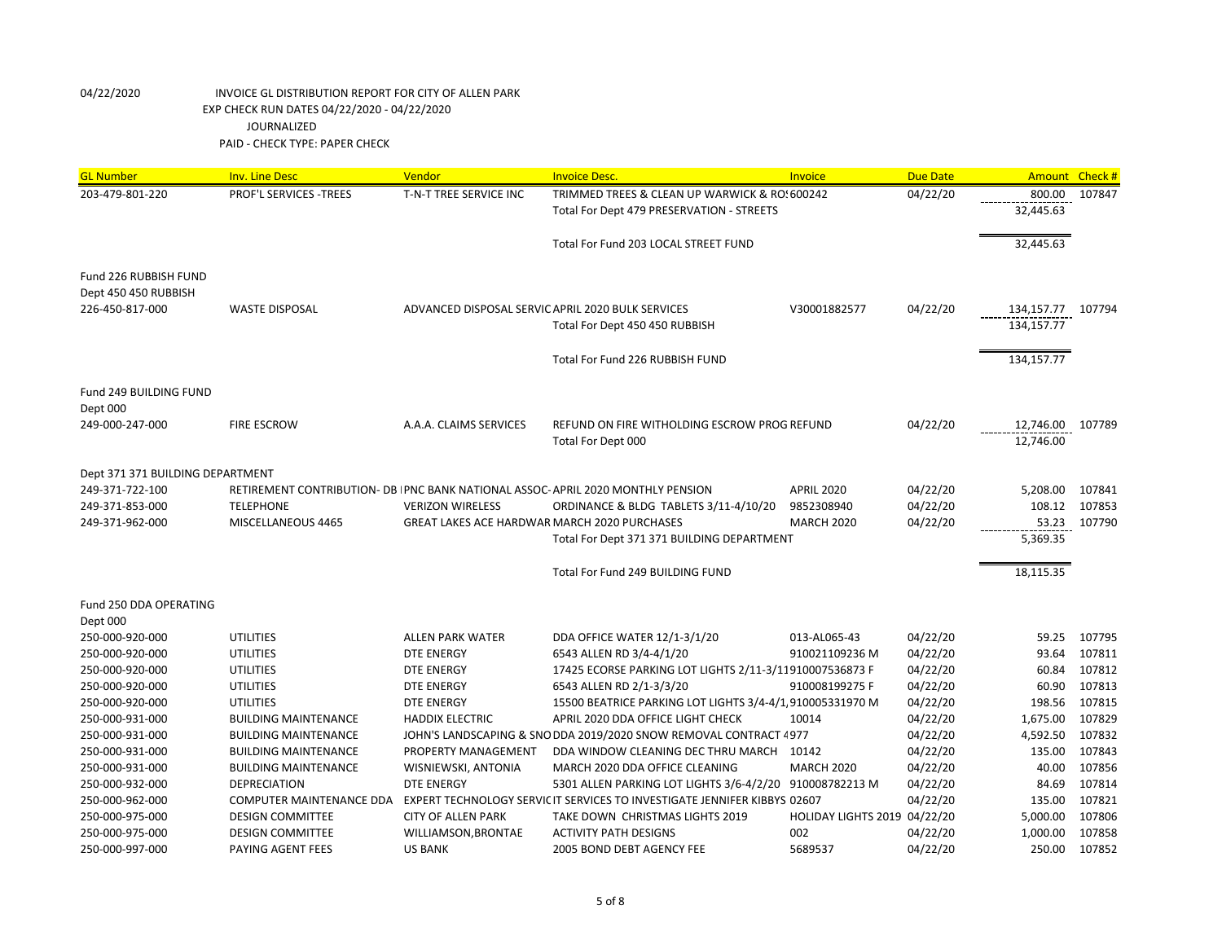| <b>GL Number</b>                 | <b>Inv. Line Desc</b>                                                          | Vendor                                            | <b>Invoice Desc.</b>                                                      | Invoice                      | <b>Due Date</b> | Amount Check #    |              |
|----------------------------------|--------------------------------------------------------------------------------|---------------------------------------------------|---------------------------------------------------------------------------|------------------------------|-----------------|-------------------|--------------|
| 203-479-801-220                  | PROF'L SERVICES - TREES                                                        | T-N-T TREE SERVICE INC                            | TRIMMED TREES & CLEAN UP WARWICK & RO: 600242                             |                              | 04/22/20        | 800.00            | 107847       |
|                                  |                                                                                |                                                   | Total For Dept 479 PRESERVATION - STREETS                                 |                              |                 | 32,445.63         |              |
|                                  |                                                                                |                                                   |                                                                           |                              |                 |                   |              |
|                                  |                                                                                |                                                   | Total For Fund 203 LOCAL STREET FUND                                      |                              |                 | 32,445.63         |              |
|                                  |                                                                                |                                                   |                                                                           |                              |                 |                   |              |
| Fund 226 RUBBISH FUND            |                                                                                |                                                   |                                                                           |                              |                 |                   |              |
| Dept 450 450 RUBBISH             |                                                                                | ADVANCED DISPOSAL SERVIC APRIL 2020 BULK SERVICES |                                                                           |                              |                 |                   |              |
| 226-450-817-000                  | <b>WASTE DISPOSAL</b>                                                          |                                                   |                                                                           | V30001882577                 | 04/22/20        | 134,157.77 107794 |              |
|                                  |                                                                                |                                                   | Total For Dept 450 450 RUBBISH                                            |                              |                 | 134,157.77        |              |
|                                  |                                                                                |                                                   | Total For Fund 226 RUBBISH FUND                                           |                              |                 | 134,157.77        |              |
| Fund 249 BUILDING FUND           |                                                                                |                                                   |                                                                           |                              |                 |                   |              |
| Dept 000                         |                                                                                |                                                   |                                                                           |                              |                 |                   |              |
| 249-000-247-000                  | <b>FIRE ESCROW</b>                                                             | A.A.A. CLAIMS SERVICES                            | REFUND ON FIRE WITHOLDING ESCROW PROG REFUND                              |                              | 04/22/20        | 12,746.00         | 107789       |
|                                  |                                                                                |                                                   | Total For Dept 000                                                        |                              |                 | 12,746.00         |              |
|                                  |                                                                                |                                                   |                                                                           |                              |                 |                   |              |
| Dept 371 371 BUILDING DEPARTMENT |                                                                                |                                                   |                                                                           |                              |                 |                   |              |
| 249-371-722-100                  | RETIREMENT CONTRIBUTION- DB PNC BANK NATIONAL ASSOC-APRIL 2020 MONTHLY PENSION |                                                   |                                                                           | <b>APRIL 2020</b>            | 04/22/20        | 5,208.00          | 107841       |
| 249-371-853-000                  | <b>TELEPHONE</b>                                                               | <b>VERIZON WIRELESS</b>                           | ORDINANCE & BLDG TABLETS 3/11-4/10/20                                     | 9852308940                   | 04/22/20        | 108.12            | 107853       |
| 249-371-962-000                  | MISCELLANEOUS 4465                                                             | GREAT LAKES ACE HARDWAR MARCH 2020 PURCHASES      |                                                                           | <b>MARCH 2020</b>            | 04/22/20        | 53.23             | 107790       |
|                                  |                                                                                |                                                   | Total For Dept 371 371 BUILDING DEPARTMENT                                |                              |                 | 5,369.35          |              |
|                                  |                                                                                |                                                   |                                                                           |                              |                 |                   |              |
|                                  |                                                                                |                                                   | Total For Fund 249 BUILDING FUND                                          |                              |                 | 18,115.35         |              |
| Fund 250 DDA OPERATING           |                                                                                |                                                   |                                                                           |                              |                 |                   |              |
| Dept 000                         |                                                                                |                                                   |                                                                           |                              |                 |                   |              |
| 250-000-920-000                  | <b>UTILITIES</b>                                                               | <b>ALLEN PARK WATER</b>                           | DDA OFFICE WATER 12/1-3/1/20                                              | 013-AL065-43                 | 04/22/20        | 59.25             | 107795       |
| 250-000-920-000                  | <b>UTILITIES</b>                                                               | <b>DTE ENERGY</b>                                 | 6543 ALLEN RD 3/4-4/1/20                                                  | 910021109236 M               | 04/22/20        | 93.64             | 107811       |
| 250-000-920-000                  | <b>UTILITIES</b>                                                               | <b>DTE ENERGY</b>                                 | 17425 ECORSE PARKING LOT LIGHTS 2/11-3/11910007536873 F                   |                              | 04/22/20        |                   | 60.84 107812 |
| 250-000-920-000                  | <b>UTILITIES</b>                                                               | DTE ENERGY                                        | 6543 ALLEN RD 2/1-3/3/20                                                  | 910008199275 F               | 04/22/20        | 60.90             | 107813       |
| 250-000-920-000                  | <b>UTILITIES</b>                                                               | <b>DTE ENERGY</b>                                 | 15500 BEATRICE PARKING LOT LIGHTS 3/4-4/1, 910005331970 M                 |                              | 04/22/20        | 198.56            | 107815       |
| 250-000-931-000                  | <b>BUILDING MAINTENANCE</b>                                                    | <b>HADDIX ELECTRIC</b>                            | APRIL 2020 DDA OFFICE LIGHT CHECK                                         | 10014                        | 04/22/20        | 1,675.00          | 107829       |
| 250-000-931-000                  | <b>BUILDING MAINTENANCE</b>                                                    |                                                   | JOHN'S LANDSCAPING & SNO DDA 2019/2020 SNOW REMOVAL CONTRACT 4977         |                              | 04/22/20        | 4,592.50          | 107832       |
| 250-000-931-000                  | <b>BUILDING MAINTENANCE</b>                                                    | PROPERTY MANAGEMENT                               | DDA WINDOW CLEANING DEC THRU MARCH                                        | 10142                        | 04/22/20        | 135.00            | 107843       |
| 250-000-931-000                  | <b>BUILDING MAINTENANCE</b>                                                    | WISNIEWSKI, ANTONIA                               | MARCH 2020 DDA OFFICE CLEANING                                            | <b>MARCH 2020</b>            | 04/22/20        | 40.00             | 107856       |
| 250-000-932-000                  | <b>DEPRECIATION</b>                                                            | <b>DTE ENERGY</b>                                 | 5301 ALLEN PARKING LOT LIGHTS 3/6-4/2/20                                  | 910008782213 M               | 04/22/20        | 84.69             | 107814       |
| 250-000-962-000                  | <b>COMPUTER MAINTENANCE DDA</b>                                                |                                                   | EXPERT TECHNOLOGY SERVIC IT SERVICES TO INVESTIGATE JENNIFER KIBBYS 02607 |                              | 04/22/20        | 135.00            | 107821       |
| 250-000-975-000                  | <b>DESIGN COMMITTEE</b>                                                        | <b>CITY OF ALLEN PARK</b>                         | TAKE DOWN CHRISTMAS LIGHTS 2019                                           | HOLIDAY LIGHTS 2019 04/22/20 |                 | 5,000.00          | 107806       |
| 250-000-975-000                  | <b>DESIGN COMMITTEE</b>                                                        | WILLIAMSON, BRONTAE                               | <b>ACTIVITY PATH DESIGNS</b>                                              | 002                          | 04/22/20        | 1,000.00          | 107858       |
| 250-000-997-000                  | PAYING AGENT FEES                                                              | <b>US BANK</b>                                    | 2005 BOND DEBT AGENCY FEE                                                 | 5689537                      | 04/22/20        | 250.00            | 107852       |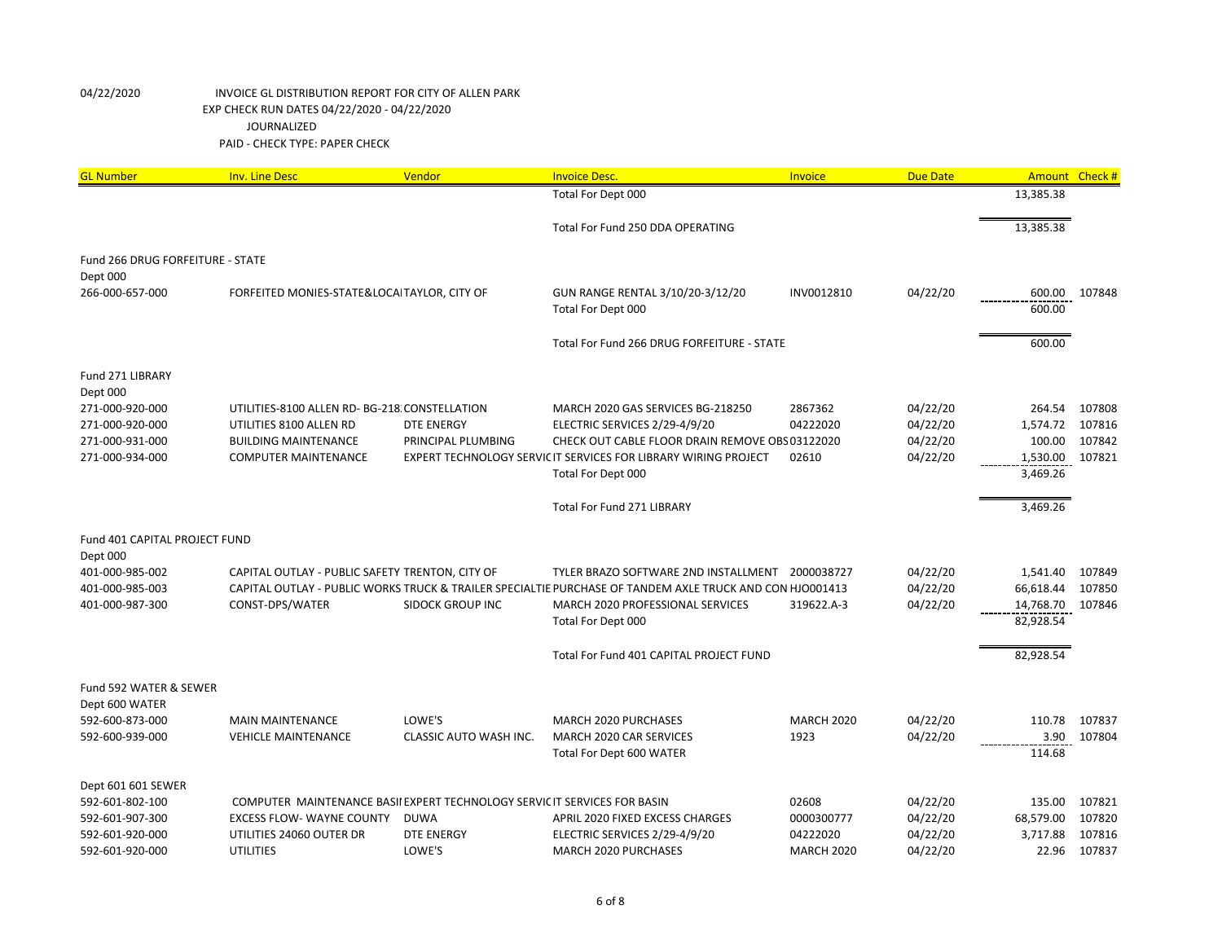| <b>GL Number</b>                                    | <b>Inv. Line Desc</b>                                                     | Vendor                  | <b>Invoice Desc.</b>                                                                                     | Invoice           | <b>Due Date</b> | Amount Check #       |        |
|-----------------------------------------------------|---------------------------------------------------------------------------|-------------------------|----------------------------------------------------------------------------------------------------------|-------------------|-----------------|----------------------|--------|
|                                                     |                                                                           |                         | Total For Dept 000                                                                                       |                   |                 | 13,385.38            |        |
|                                                     |                                                                           |                         | Total For Fund 250 DDA OPERATING                                                                         |                   |                 | 13,385.38            |        |
| <b>Fund 266 DRUG FORFEITURE - STATE</b><br>Dept 000 |                                                                           |                         |                                                                                                          |                   |                 |                      |        |
| 266-000-657-000                                     | FORFEITED MONIES-STATE&LOCAITAYLOR, CITY OF                               |                         | GUN RANGE RENTAL 3/10/20-3/12/20<br>Total For Dept 000                                                   | INV0012810        | 04/22/20        | 600.00<br>600.00     | 107848 |
|                                                     |                                                                           |                         | Total For Fund 266 DRUG FORFEITURE - STATE                                                               |                   |                 | 600.00               |        |
| Fund 271 LIBRARY<br>Dept 000                        |                                                                           |                         |                                                                                                          |                   |                 |                      |        |
| 271-000-920-000                                     | UTILITIES-8100 ALLEN RD- BG-218 CONSTELLATION                             |                         | MARCH 2020 GAS SERVICES BG-218250                                                                        | 2867362           | 04/22/20        | 264.54               | 107808 |
| 271-000-920-000                                     | UTILITIES 8100 ALLEN RD                                                   | <b>DTE ENERGY</b>       | ELECTRIC SERVICES 2/29-4/9/20                                                                            | 04222020          | 04/22/20        | 1,574.72             | 107816 |
| 271-000-931-000                                     | <b>BUILDING MAINTENANCE</b>                                               | PRINCIPAL PLUMBING      | CHECK OUT CABLE FLOOR DRAIN REMOVE OBS 03122020                                                          |                   | 04/22/20        | 100.00               | 107842 |
| 271-000-934-000                                     | <b>COMPUTER MAINTENANCE</b>                                               |                         | EXPERT TECHNOLOGY SERVIC IT SERVICES FOR LIBRARY WIRING PROJECT<br>Total For Dept 000                    | 02610             | 04/22/20        | 1,530.00<br>3,469.26 | 107821 |
|                                                     |                                                                           |                         | Total For Fund 271 LIBRARY                                                                               |                   |                 | 3,469.26             |        |
| Fund 401 CAPITAL PROJECT FUND                       |                                                                           |                         |                                                                                                          |                   |                 |                      |        |
| Dept 000<br>401-000-985-002                         | CAPITAL OUTLAY - PUBLIC SAFETY TRENTON, CITY OF                           |                         | TYLER BRAZO SOFTWARE 2ND INSTALLMENT                                                                     | 2000038727        | 04/22/20        | 1,541.40             | 107849 |
| 401-000-985-003                                     |                                                                           |                         | CAPITAL OUTLAY - PUBLIC WORKS TRUCK & TRAILER SPECIALTIE PURCHASE OF TANDEM AXLE TRUCK AND CON HJO001413 |                   | 04/22/20        | 66,618.44            | 107850 |
| 401-000-987-300                                     | CONST-DPS/WATER                                                           | <b>SIDOCK GROUP INC</b> | MARCH 2020 PROFESSIONAL SERVICES                                                                         | 319622.A-3        | 04/22/20        | 14,768.70            | 107846 |
|                                                     |                                                                           |                         | Total For Dept 000                                                                                       |                   |                 | 82,928.54            |        |
|                                                     |                                                                           |                         | Total For Fund 401 CAPITAL PROJECT FUND                                                                  |                   |                 | 82,928.54            |        |
| Fund 592 WATER & SEWER<br>Dept 600 WATER            |                                                                           |                         |                                                                                                          |                   |                 |                      |        |
| 592-600-873-000                                     | <b>MAIN MAINTENANCE</b>                                                   | LOWE'S                  | MARCH 2020 PURCHASES                                                                                     | <b>MARCH 2020</b> | 04/22/20        | 110.78               | 107837 |
| 592-600-939-000                                     | <b>VEHICLE MAINTENANCE</b>                                                | CLASSIC AUTO WASH INC.  | MARCH 2020 CAR SERVICES                                                                                  | 1923              | 04/22/20        | 3.90                 | 107804 |
|                                                     |                                                                           |                         | Total For Dept 600 WATER                                                                                 |                   |                 | 114.68               |        |
| Dept 601 601 SEWER                                  |                                                                           |                         |                                                                                                          |                   |                 |                      |        |
| 592-601-802-100                                     | COMPUTER MAINTENANCE BASII EXPERT TECHNOLOGY SERVIC IT SERVICES FOR BASIN |                         |                                                                                                          | 02608             | 04/22/20        | 135.00               | 107821 |
| 592-601-907-300                                     | <b>EXCESS FLOW- WAYNE COUNTY</b>                                          | <b>DUWA</b>             | APRIL 2020 FIXED EXCESS CHARGES                                                                          | 0000300777        | 04/22/20        | 68,579.00            | 107820 |
| 592-601-920-000                                     | UTILITIES 24060 OUTER DR                                                  | <b>DTE ENERGY</b>       | ELECTRIC SERVICES 2/29-4/9/20                                                                            | 04222020          | 04/22/20        | 3,717.88             | 107816 |
| 592-601-920-000                                     | <b>UTILITIES</b>                                                          | LOWE'S                  | MARCH 2020 PURCHASES                                                                                     | <b>MARCH 2020</b> | 04/22/20        | 22.96                | 107837 |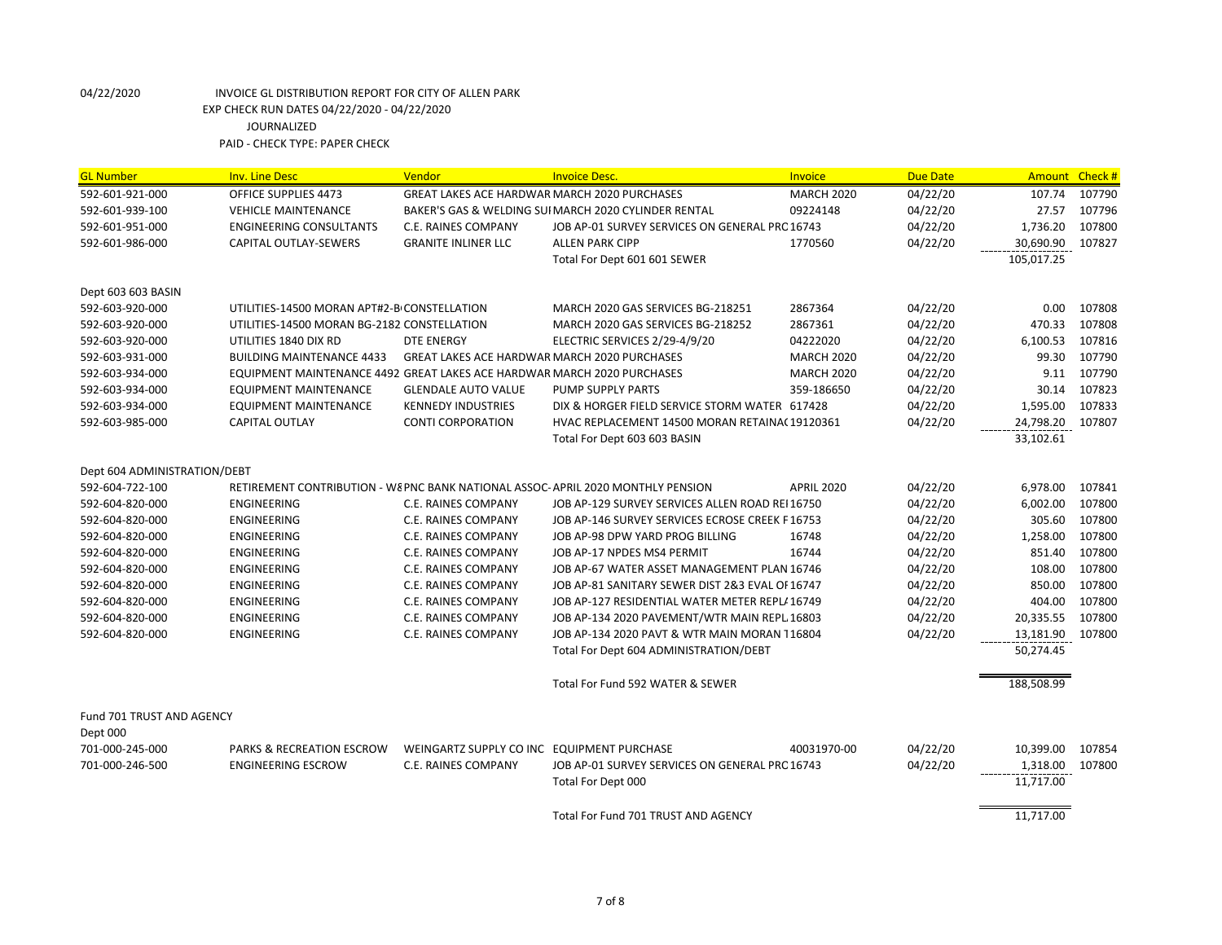| <b>GL Number</b>             | <b>Inv. Line Desc</b>                                                   | Vendor                                              | <b>Invoice Desc.</b>                                                            | <b>Invoice</b>    | <b>Due Date</b> |            | Amount Check # |
|------------------------------|-------------------------------------------------------------------------|-----------------------------------------------------|---------------------------------------------------------------------------------|-------------------|-----------------|------------|----------------|
| 592-601-921-000              | <b>OFFICE SUPPLIES 4473</b>                                             | <b>GREAT LAKES ACE HARDWAR MARCH 2020 PURCHASES</b> |                                                                                 | <b>MARCH 2020</b> | 04/22/20        | 107.74     | 107790         |
| 592-601-939-100              | <b>VEHICLE MAINTENANCE</b>                                              |                                                     | BAKER'S GAS & WELDING SUI MARCH 2020 CYLINDER RENTAL                            | 09224148          | 04/22/20        | 27.57      | 107796         |
| 592-601-951-000              | <b>ENGINEERING CONSULTANTS</b>                                          | <b>C.E. RAINES COMPANY</b>                          | JOB AP-01 SURVEY SERVICES ON GENERAL PRC 16743                                  |                   | 04/22/20        | 1,736.20   | 107800         |
| 592-601-986-000              | <b>CAPITAL OUTLAY-SEWERS</b>                                            | <b>GRANITE INLINER LLC</b>                          | <b>ALLEN PARK CIPP</b>                                                          | 1770560           | 04/22/20        | 30,690.90  | 107827         |
|                              |                                                                         |                                                     | Total For Dept 601 601 SEWER                                                    |                   |                 | 105,017.25 |                |
| Dept 603 603 BASIN           |                                                                         |                                                     |                                                                                 |                   |                 |            |                |
| 592-603-920-000              | UTILITIES-14500 MORAN APT#2-B CONSTELLATION                             |                                                     | MARCH 2020 GAS SERVICES BG-218251                                               | 2867364           | 04/22/20        | 0.00       | 107808         |
| 592-603-920-000              | UTILITIES-14500 MORAN BG-2182 CONSTELLATION                             |                                                     | MARCH 2020 GAS SERVICES BG-218252                                               | 2867361           | 04/22/20        | 470.33     | 107808         |
| 592-603-920-000              | UTILITIES 1840 DIX RD                                                   | <b>DTE ENERGY</b>                                   | ELECTRIC SERVICES 2/29-4/9/20                                                   | 04222020          | 04/22/20        | 6,100.53   | 107816         |
| 592-603-931-000              | <b>BUILDING MAINTENANCE 4433</b>                                        | <b>GREAT LAKES ACE HARDWAR MARCH 2020 PURCHASES</b> |                                                                                 | <b>MARCH 2020</b> | 04/22/20        | 99.30      | 107790         |
| 592-603-934-000              | EQUIPMENT MAINTENANCE 4492 GREAT LAKES ACE HARDWAR MARCH 2020 PURCHASES |                                                     |                                                                                 | <b>MARCH 2020</b> | 04/22/20        | 9.11       | 107790         |
| 592-603-934-000              | <b>EQUIPMENT MAINTENANCE</b>                                            | <b>GLENDALE AUTO VALUE</b>                          | PUMP SUPPLY PARTS                                                               | 359-186650        | 04/22/20        | 30.14      | 107823         |
| 592-603-934-000              | <b>EQUIPMENT MAINTENANCE</b>                                            | <b>KENNEDY INDUSTRIES</b>                           | DIX & HORGER FIELD SERVICE STORM WATER 617428                                   |                   | 04/22/20        | 1,595.00   | 107833         |
| 592-603-985-000              | <b>CAPITAL OUTLAY</b>                                                   | <b>CONTI CORPORATION</b>                            | HVAC REPLACEMENT 14500 MORAN RETAINA(19120361                                   |                   | 04/22/20        | 24,798.20  | 107807         |
|                              |                                                                         |                                                     | Total For Dept 603 603 BASIN                                                    |                   |                 | 33,102.61  |                |
| Dept 604 ADMINISTRATION/DEBT |                                                                         |                                                     |                                                                                 |                   |                 |            |                |
| 592-604-722-100              |                                                                         |                                                     | RETIREMENT CONTRIBUTION - W& PNC BANK NATIONAL ASSOC-APRIL 2020 MONTHLY PENSION | <b>APRIL 2020</b> | 04/22/20        | 6,978.00   | 107841         |
| 592-604-820-000              | <b>ENGINEERING</b>                                                      | <b>C.E. RAINES COMPANY</b>                          | JOB AP-129 SURVEY SERVICES ALLEN ROAD REI 16750                                 |                   | 04/22/20        | 6,002.00   | 107800         |
| 592-604-820-000              | <b>ENGINEERING</b>                                                      | <b>C.E. RAINES COMPANY</b>                          | JOB AP-146 SURVEY SERVICES ECROSE CREEK F16753                                  |                   | 04/22/20        | 305.60     | 107800         |
| 592-604-820-000              | <b>ENGINEERING</b>                                                      | <b>C.E. RAINES COMPANY</b>                          | JOB AP-98 DPW YARD PROG BILLING                                                 | 16748             | 04/22/20        | 1,258.00   | 107800         |
| 592-604-820-000              | <b>ENGINEERING</b>                                                      | <b>C.E. RAINES COMPANY</b>                          | JOB AP-17 NPDES MS4 PERMIT                                                      | 16744             | 04/22/20        | 851.40     | 107800         |
| 592-604-820-000              | <b>ENGINEERING</b>                                                      | <b>C.E. RAINES COMPANY</b>                          | JOB AP-67 WATER ASSET MANAGEMENT PLAN 16746                                     |                   | 04/22/20        | 108.00     | 107800         |
| 592-604-820-000              | <b>ENGINEERING</b>                                                      | <b>C.E. RAINES COMPANY</b>                          | JOB AP-81 SANITARY SEWER DIST 2&3 EVAL OF 16747                                 |                   | 04/22/20        | 850.00     | 107800         |
| 592-604-820-000              | <b>ENGINEERING</b>                                                      | <b>C.E. RAINES COMPANY</b>                          | JOB AP-127 RESIDENTIAL WATER METER REPL/16749                                   |                   | 04/22/20        | 404.00     | 107800         |
| 592-604-820-000              | <b>ENGINEERING</b>                                                      | <b>C.E. RAINES COMPANY</b>                          | JOB AP-134 2020 PAVEMENT/WTR MAIN REPL 16803                                    |                   | 04/22/20        | 20,335.55  | 107800         |
| 592-604-820-000              | ENGINEERING                                                             | <b>C.E. RAINES COMPANY</b>                          | JOB AP-134 2020 PAVT & WTR MAIN MORAN 116804                                    |                   | 04/22/20        | 13,181.90  | 107800         |
|                              |                                                                         |                                                     | Total For Dept 604 ADMINISTRATION/DEBT                                          |                   |                 | 50,274.45  |                |
|                              |                                                                         |                                                     | Total For Fund 592 WATER & SEWER                                                |                   |                 | 188,508.99 |                |
| Fund 701 TRUST AND AGENCY    |                                                                         |                                                     |                                                                                 |                   |                 |            |                |
| Dept 000                     |                                                                         |                                                     |                                                                                 |                   |                 |            |                |
| 701-000-245-000              | <b>PARKS &amp; RECREATION ESCROW</b>                                    | WEINGARTZ SUPPLY CO INC EQUIPMENT PURCHASE          |                                                                                 | 40031970-00       | 04/22/20        | 10,399.00  | 107854         |
| 701-000-246-500              | <b>ENGINEERING ESCROW</b>                                               | <b>C.E. RAINES COMPANY</b>                          | JOB AP-01 SURVEY SERVICES ON GENERAL PRC 16743                                  |                   | 04/22/20        | 1,318.00   | 107800         |
|                              |                                                                         |                                                     | Total For Dept 000                                                              |                   |                 | 11,717.00  |                |
|                              |                                                                         |                                                     | Total For Fund 701 TRUST AND AGENCY                                             |                   |                 | 11,717.00  |                |